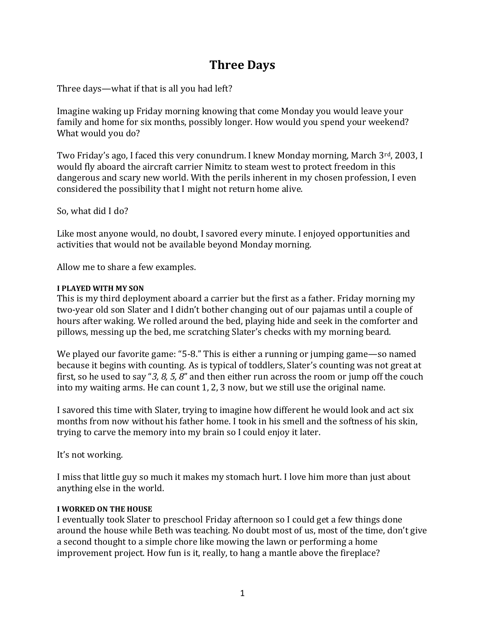# **Three Days**

Three days—what if that is all you had left?

Imagine waking up Friday morning knowing that come Monday you would leave your family and home for six months, possibly longer. How would you spend your weekend? What would you do?

Two Friday's ago, I faced this very conundrum. I knew Monday morning, March 3rd, 2003, I would fly aboard the aircraft carrier Nimitz to steam west to protect freedom in this dangerous and scary new world. With the perils inherent in my chosen profession, I even considered the possibility that I might not return home alive.

So, what did I do?

Like most anyone would, no doubt, I savored every minute. I enjoyed opportunities and activities that would not be available beyond Monday morning.

Allow me to share a few examples.

### **I PLAYED WITH MY SON**

This is my third deployment aboard a carrier but the first as a father. Friday morning my two-year old son Slater and I didn't bother changing out of our pajamas until a couple of hours after waking. We rolled around the bed, playing hide and seek in the comforter and pillows, messing up the bed, me scratching Slater's checks with my morning beard.

We played our favorite game: "5-8." This is either a running or jumping game—so named because it begins with counting. As is typical of toddlers, Slater's counting was not great at first, so he used to say "*3, 8, 5, 8*" and then either run across the room or jump off the couch into my waiting arms. He can count 1, 2, 3 now, but we still use the original name.

I savored this time with Slater, trying to imagine how different he would look and act six months from now without his father home. I took in his smell and the softness of his skin, trying to carve the memory into my brain so I could enjoy it later.

It's not working.

I miss that little guy so much it makes my stomach hurt. I love him more than just about anything else in the world.

### **I WORKED ON THE HOUSE**

I eventually took Slater to preschool Friday afternoon so I could get a few things done around the house while Beth was teaching. No doubt most of us, most of the time, don't give a second thought to a simple chore like mowing the lawn or performing a home improvement project. How fun is it, really, to hang a mantle above the fireplace?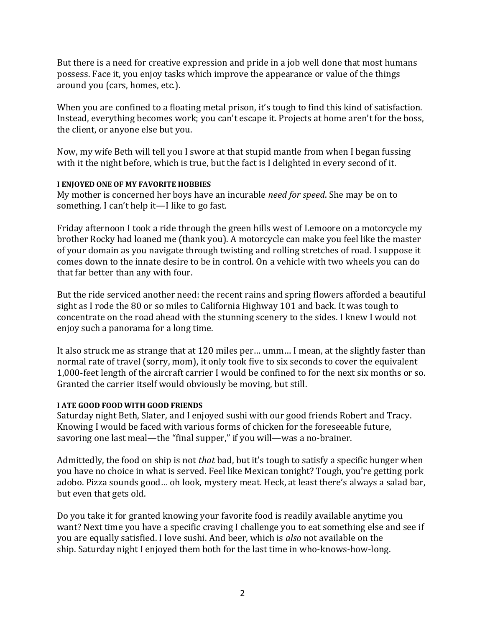But there is a need for creative expression and pride in a job well done that most humans possess. Face it, you enjoy tasks which improve the appearance or value of the things around you (cars, homes, etc.).

When you are confined to a floating metal prison, it's tough to find this kind of satisfaction. Instead, everything becomes work; you can't escape it. Projects at home aren't for the boss, the client, or anyone else but you.

Now, my wife Beth will tell you I swore at that stupid mantle from when I began fussing with it the night before, which is true, but the fact is I delighted in every second of it.

## **I ENJOYED ONE OF MY FAVORITE HOBBIES**

My mother is concerned her boys have an incurable *need for speed*. She may be on to something. I can't help it—I like to go fast.

Friday afternoon I took a ride through the green hills west of Lemoore on a motorcycle my brother Rocky had loaned me (thank you). A motorcycle can make you feel like the master of your domain as you navigate through twisting and rolling stretches of road. I suppose it comes down to the innate desire to be in control. On a vehicle with two wheels you can do that far better than any with four.

But the ride serviced another need: the recent rains and spring flowers afforded a beautiful sight as I rode the 80 or so miles to California Highway 101 and back. It was tough to concentrate on the road ahead with the stunning scenery to the sides. I knew I would not enjoy such a panorama for a long time.

It also struck me as strange that at 120 miles per… umm… I mean, at the slightly faster than normal rate of travel (sorry, mom), it only took five to six seconds to cover the equivalent 1,000-feet length of the aircraft carrier I would be confined to for the next six months or so. Granted the carrier itself would obviously be moving, but still.

## **I ATE GOOD FOOD WITH GOOD FRIENDS**

Saturday night Beth, Slater, and I enjoyed sushi with our good friends Robert and Tracy. Knowing I would be faced with various forms of chicken for the foreseeable future, savoring one last meal—the "final supper," if you will—was a no-brainer.

Admittedly, the food on ship is not *that* bad, but it's tough to satisfy a specific hunger when you have no choice in what is served. Feel like Mexican tonight? Tough, you're getting pork adobo. Pizza sounds good… oh look, mystery meat. Heck, at least there's always a salad bar, but even that gets old.

Do you take it for granted knowing your favorite food is readily available anytime you want? Next time you have a specific craving I challenge you to eat something else and see if you are equally satisfied. I love sushi. And beer, which is *also* not available on the ship. Saturday night I enjoyed them both for the last time in who-knows-how-long.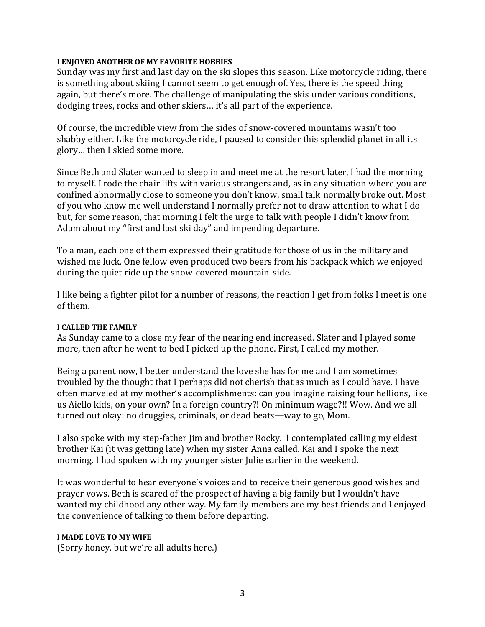#### **I ENJOYED ANOTHER OF MY FAVORITE HOBBIES**

Sunday was my first and last day on the ski slopes this season. Like motorcycle riding, there is something about skiing I cannot seem to get enough of. Yes, there is the speed thing again, but there's more. The challenge of manipulating the skis under various conditions, dodging trees, rocks and other skiers… it's all part of the experience.

Of course, the incredible view from the sides of snow-covered mountains wasn't too shabby either. Like the motorcycle ride, I paused to consider this splendid planet in all its glory… then I skied some more.

Since Beth and Slater wanted to sleep in and meet me at the resort later, I had the morning to myself. I rode the chair lifts with various strangers and, as in any situation where you are confined abnormally close to someone you don't know, small talk normally broke out. Most of you who know me well understand I normally prefer not to draw attention to what I do but, for some reason, that morning I felt the urge to talk with people I didn't know from Adam about my "first and last ski day" and impending departure.

To a man, each one of them expressed their gratitude for those of us in the military and wished me luck. One fellow even produced two beers from his backpack which we enjoyed during the quiet ride up the snow-covered mountain-side.

I like being a fighter pilot for a number of reasons, the reaction I get from folks I meet is one of them.

### **I CALLED THE FAMILY**

As Sunday came to a close my fear of the nearing end increased. Slater and I played some more, then after he went to bed I picked up the phone. First, I called my mother.

Being a parent now, I better understand the love she has for me and I am sometimes troubled by the thought that I perhaps did not cherish that as much as I could have. I have often marveled at my mother's accomplishments: can you imagine raising four hellions, like us Aiello kids, on your own? In a foreign country?! On minimum wage?!! Wow. And we all turned out okay: no druggies, criminals, or dead beats—way to go, Mom.

I also spoke with my step-father Jim and brother Rocky. I contemplated calling my eldest brother Kai (it was getting late) when my sister Anna called. Kai and I spoke the next morning. I had spoken with my younger sister Julie earlier in the weekend.

It was wonderful to hear everyone's voices and to receive their generous good wishes and prayer vows. Beth is scared of the prospect of having a big family but I wouldn't have wanted my childhood any other way. My family members are my best friends and I enjoyed the convenience of talking to them before departing.

#### **I MADE LOVE TO MY WIFE**

(Sorry honey, but we're all adults here.)